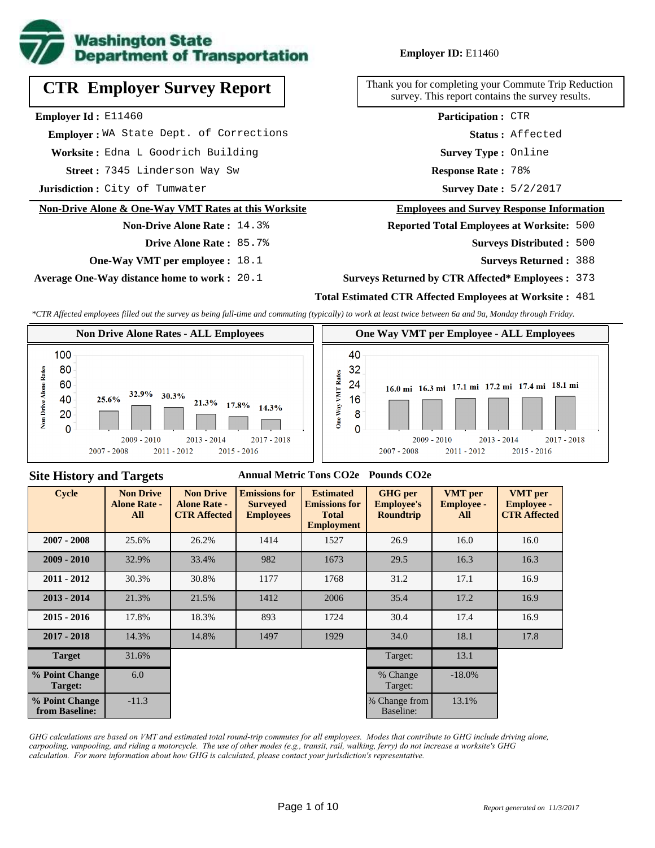

# **CTR Employer Survey Report**

**Employer Id :** E11460

 **Employer :** WA State Dept. of Corrections

**Worksite :** Edna L Goodrich Building

7345 Linderson Way Sw **Response Rate : Street :**

**Jurisdiction :** City of Tumwater

#### **Non-Drive Alone & One-Way VMT Rates at this Worksite**

#### **Non-Drive Alone Rate :** 14.3%

**Drive Alone Rate :** 85.7%

**One-Way VMT per employee :** 18.1

**Average One-Way distance home to work :** 20.1

#### **Employer ID:** E11460

Thank you for completing your Commute Trip Reduction survey. This report contains the survey results.

> **Survey Type :** Online **Status :** Affected **Participation :** CTR

Response Rate: 78%

Survey Date:  $5/2/2017$ 

#### **Employees and Survey Response Information**

**Reported Total Employees at Worksite:** 500

Surveys Distributed: 500

**Surveys Returned :** 388

#### **Surveys Returned by CTR Affected\* Employees :** 373

#### **Total Estimated CTR Affected Employees at Worksite :** 481

*\*CTR Affected employees filled out the survey as being full-time and commuting (typically) to work at least twice between 6a and 9a, Monday through Friday.*



#### **Site History and Targets**

#### **Annual Metric Tons CO2e Pounds CO2e**

| Cycle                            | <b>Non Drive</b><br><b>Alone Rate -</b><br>All | <b>Non Drive</b><br><b>Alone Rate -</b><br><b>CTR Affected</b> | <b>Emissions for</b><br><b>Surveyed</b><br><b>Employees</b> | <b>Estimated</b><br><b>Emissions for</b><br><b>Total</b><br><b>Employment</b> | <b>GHG</b> per<br><b>Employee's</b><br><b>Roundtrip</b> | <b>VMT</b> per<br><b>Employee -</b><br>All | <b>VMT</b> per<br><b>Employee -</b><br><b>CTR Affected</b> |
|----------------------------------|------------------------------------------------|----------------------------------------------------------------|-------------------------------------------------------------|-------------------------------------------------------------------------------|---------------------------------------------------------|--------------------------------------------|------------------------------------------------------------|
| $2007 - 2008$                    | 25.6%                                          | 26.2%                                                          | 1414                                                        | 1527                                                                          | 26.9                                                    | 16.0                                       | 16.0                                                       |
| $2009 - 2010$                    | 32.9%                                          | 33.4%                                                          | 982                                                         | 1673                                                                          | 29.5                                                    | 16.3                                       | 16.3                                                       |
| $2011 - 2012$                    | 30.3%                                          | 30.8%                                                          | 1177                                                        | 1768                                                                          | 31.2                                                    | 17.1                                       | 16.9                                                       |
| $2013 - 2014$                    | 21.3%                                          | 21.5%                                                          | 1412                                                        | 2006                                                                          | 35.4                                                    | 17.2                                       | 16.9                                                       |
| $2015 - 2016$                    | 17.8%                                          | 18.3%                                                          | 893                                                         | 1724                                                                          | 30.4                                                    | 17.4                                       | 16.9                                                       |
| $2017 - 2018$                    | 14.3%                                          | 14.8%                                                          | 1497                                                        | 1929                                                                          | 34.0                                                    | 18.1                                       | 17.8                                                       |
| <b>Target</b>                    | 31.6%                                          |                                                                |                                                             |                                                                               | Target:                                                 | 13.1                                       |                                                            |
| % Point Change<br><b>Target:</b> | 6.0                                            |                                                                |                                                             |                                                                               | % Change<br>Target:                                     | $-18.0\%$                                  |                                                            |
| % Point Change<br>from Baseline: | $-11.3$                                        |                                                                |                                                             |                                                                               | % Change from<br>Baseline:                              | 13.1%                                      |                                                            |

*GHG calculations are based on VMT and estimated total round-trip commutes for all employees. Modes that contribute to GHG include driving alone, carpooling, vanpooling, and riding a motorcycle. The use of other modes (e.g., transit, rail, walking, ferry) do not increase a worksite's GHG calculation. For more information about how GHG is calculated, please contact your jurisdiction's representative.*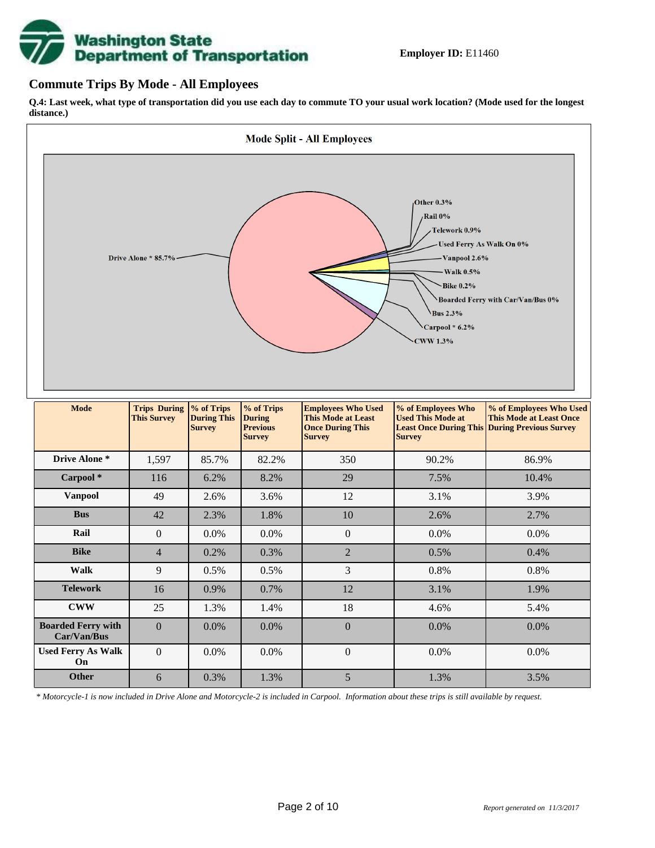# **Washington State<br>Department of Transportation**

#### **Commute Trips By Mode - All Employees**

**Q.4: Last week, what type of transportation did you use each day to commute TO your usual work location? (Mode used for the longest distance.)**



*\* Motorcycle-1 is now included in Drive Alone and Motorcycle-2 is included in Carpool. Information about these trips is still available by request.*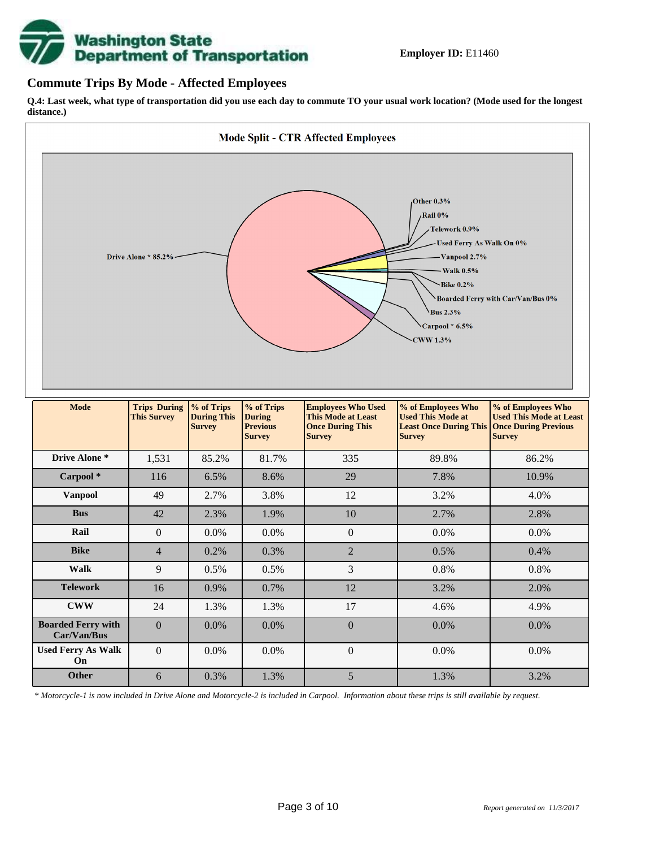

#### **Commute Trips By Mode - Affected Employees**

**Q.4: Last week, what type of transportation did you use each day to commute TO your usual work location? (Mode used for the longest distance.)**



*\* Motorcycle-1 is now included in Drive Alone and Motorcycle-2 is included in Carpool. Information about these trips is still available by request.*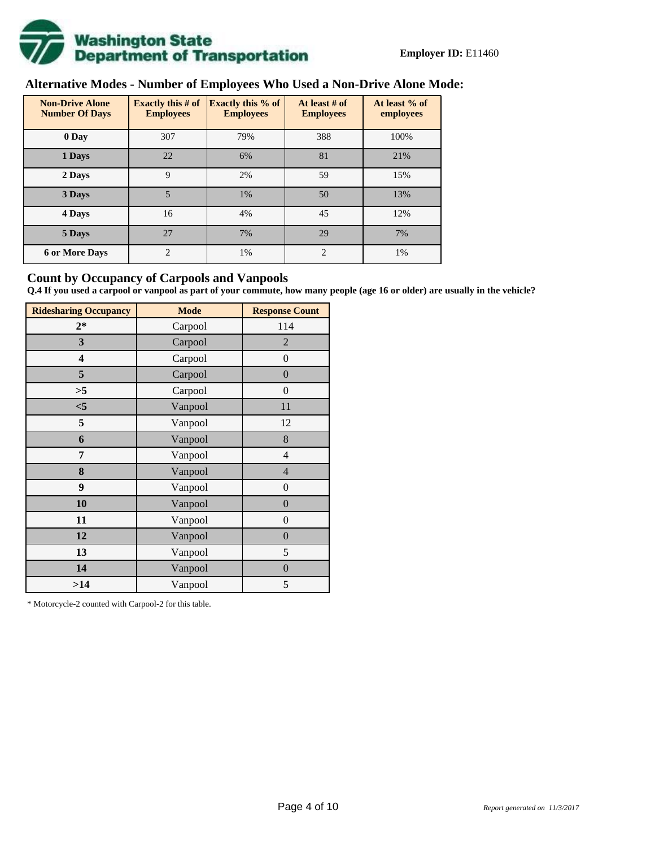

# **Alternative Modes - Number of Employees Who Used a Non-Drive Alone Mode:**

| <b>Non-Drive Alone</b><br><b>Number Of Days</b> | Exactly this $# of$<br><b>Employees</b> | Exactly this % of<br><b>Employees</b> | At least # of<br><b>Employees</b> | At least % of<br>employees |
|-------------------------------------------------|-----------------------------------------|---------------------------------------|-----------------------------------|----------------------------|
| 0 Day                                           | 307                                     | 79%                                   | 388                               | 100%                       |
| 1 Days                                          | 22                                      | 6%                                    | 81                                | 21%                        |
| 2 Days                                          | 9                                       | 2%                                    | 59                                | 15%                        |
| 3 Days                                          | 5                                       | 1%                                    | 50                                | 13%                        |
| 4 Days                                          | 16                                      | 4%                                    | 45                                | 12%                        |
| 5 Days                                          | 27                                      | 7%                                    | 29                                | 7%                         |
| <b>6 or More Days</b>                           | $\overline{c}$                          | 1%                                    | $\overline{c}$                    | 1%                         |

#### **Count by Occupancy of Carpools and Vanpools**

**Q.4 If you used a carpool or vanpool as part of your commute, how many people (age 16 or older) are usually in the vehicle?**

| <b>Ridesharing Occupancy</b> | <b>Mode</b> | <b>Response Count</b> |
|------------------------------|-------------|-----------------------|
| $2*$                         | Carpool     | 114                   |
| 3                            | Carpool     | $\overline{2}$        |
| $\overline{\mathbf{4}}$      | Carpool     | $\boldsymbol{0}$      |
| 5                            | Carpool     | $\boldsymbol{0}$      |
| >5                           | Carpool     | $\boldsymbol{0}$      |
| $<$ 5                        | Vanpool     | 11                    |
| 5                            | Vanpool     | 12                    |
| 6                            | Vanpool     | 8                     |
| 7                            | Vanpool     | 4                     |
| 8                            | Vanpool     | $\overline{4}$        |
| 9                            | Vanpool     | $\boldsymbol{0}$      |
| 10                           | Vanpool     | $\overline{0}$        |
| 11                           | Vanpool     | $\boldsymbol{0}$      |
| 12                           | Vanpool     | $\boldsymbol{0}$      |
| 13                           | Vanpool     | $\mathfrak s$         |
| 14                           | Vanpool     | $\boldsymbol{0}$      |
| >14                          | Vanpool     | 5                     |

\* Motorcycle-2 counted with Carpool-2 for this table.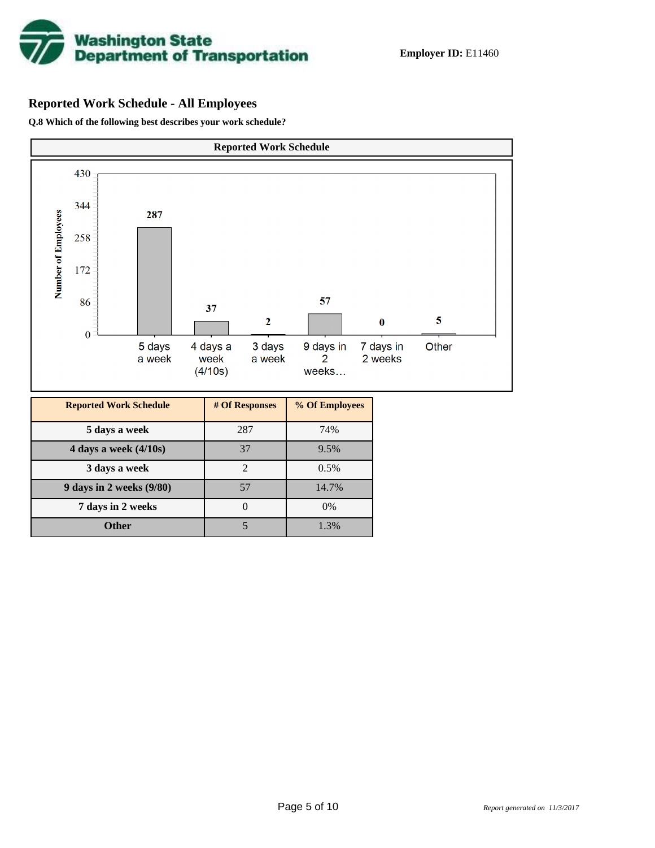

# **Reported Work Schedule - All Employees**

**Q.8 Which of the following best describes your work schedule?**

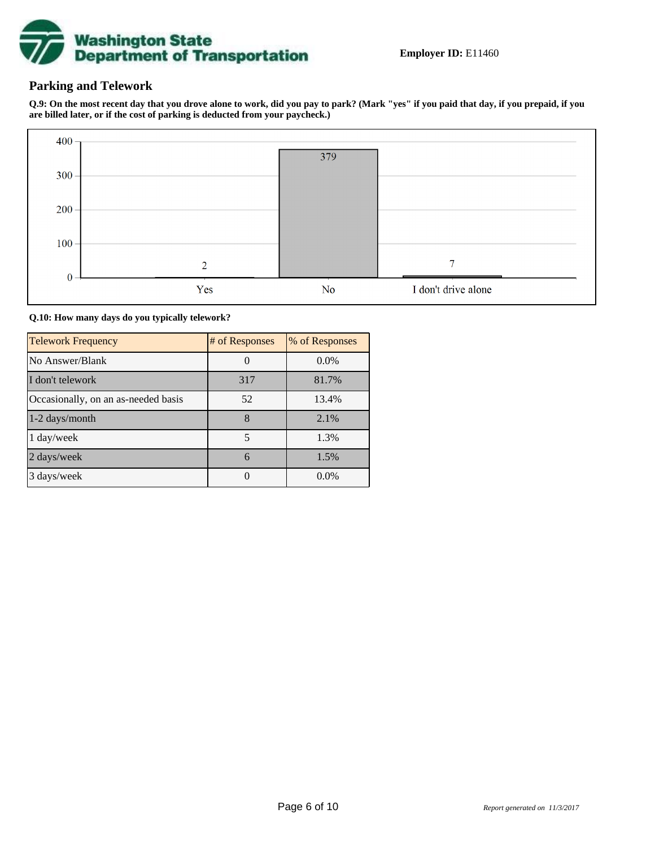

### **Parking and Telework**

**Q.9: On the most recent day that you drove alone to work, did you pay to park? (Mark "yes" if you paid that day, if you prepaid, if you are billed later, or if the cost of parking is deducted from your paycheck.)**



**Q.10: How many days do you typically telework?**

| <b>Telework Frequency</b>           | # of Responses | % of Responses |
|-------------------------------------|----------------|----------------|
| No Answer/Blank                     |                | $0.0\%$        |
| I don't telework                    | 317            | 81.7%          |
| Occasionally, on an as-needed basis | 52             | 13.4%          |
| 1-2 days/month                      | 8              | 2.1%           |
| 1 day/week                          | 5              | 1.3%           |
| 2 days/week                         | 6              | 1.5%           |
| 3 days/week                         |                | $0.0\%$        |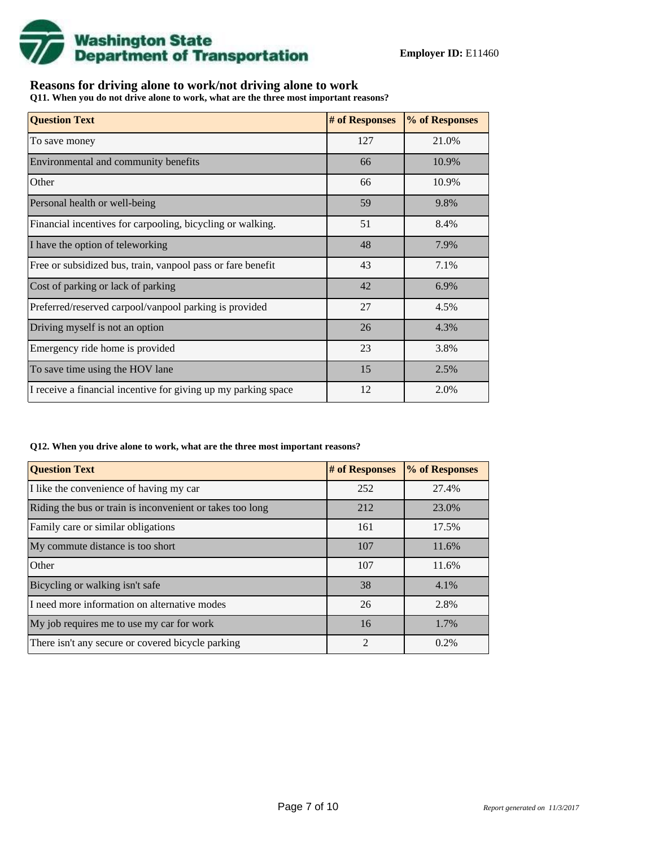

## **Reasons for driving alone to work/not driving alone to work**

**Q11. When you do not drive alone to work, what are the three most important reasons?**

| <b>Question Text</b>                                           | # of Responses | % of Responses |
|----------------------------------------------------------------|----------------|----------------|
| To save money                                                  | 127            | 21.0%          |
| Environmental and community benefits                           | 66             | 10.9%          |
| Other                                                          | 66             | 10.9%          |
| Personal health or well-being                                  | 59             | 9.8%           |
| Financial incentives for carpooling, bicycling or walking.     | 51             | 8.4%           |
| I have the option of teleworking                               | 48             | 7.9%           |
| Free or subsidized bus, train, vanpool pass or fare benefit    | 43             | 7.1%           |
| Cost of parking or lack of parking                             | 42             | 6.9%           |
| Preferred/reserved carpool/vanpool parking is provided         | 27             | 4.5%           |
| Driving myself is not an option                                | 26             | 4.3%           |
| Emergency ride home is provided                                | 23             | 3.8%           |
| To save time using the HOV lane                                | 15             | 2.5%           |
| I receive a financial incentive for giving up my parking space | 12             | 2.0%           |

#### **Q12. When you drive alone to work, what are the three most important reasons?**

| <b>Question Text</b>                                      | # of Responses | % of Responses |
|-----------------------------------------------------------|----------------|----------------|
| I like the convenience of having my car                   | 252            | 27.4%          |
| Riding the bus or train is inconvenient or takes too long | 212            | 23.0%          |
| Family care or similar obligations                        | 161            | 17.5%          |
| My commute distance is too short                          | 107            | 11.6%          |
| Other                                                     | 107            | 11.6%          |
| Bicycling or walking isn't safe                           | 38             | 4.1%           |
| I need more information on alternative modes              | 26             | 2.8%           |
| My job requires me to use my car for work                 | 16             | 1.7%           |
| There isn't any secure or covered bicycle parking         | $\mathfrak{D}$ | 0.2%           |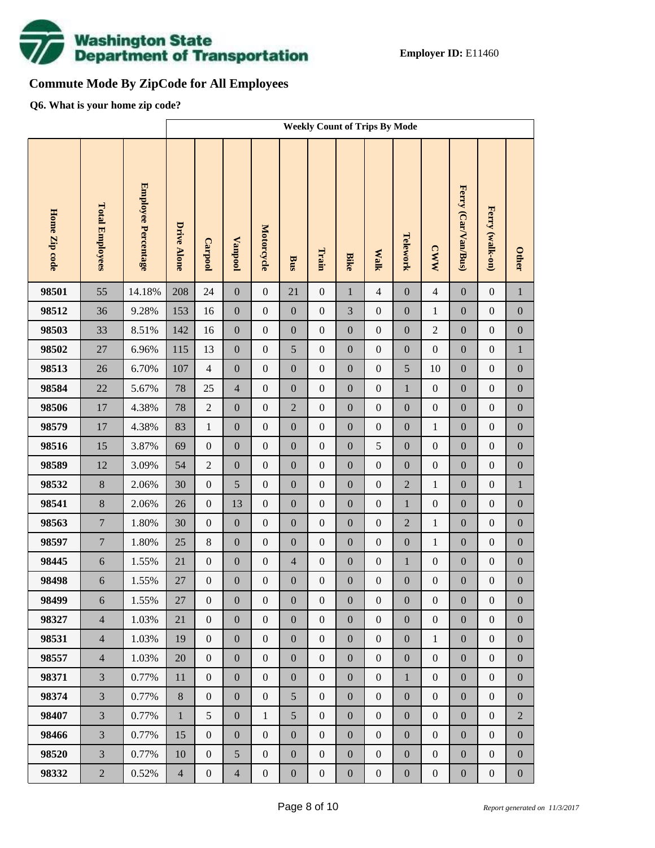

# **Commute Mode By ZipCode for All Employees**

**Q6. What is your home zip code?**

|               |                        |                     |                    | <b>Weekly Count of Trips By Mode</b> |                  |                  |                  |                  |                  |                  |                  |                  |                     |                  |                  |
|---------------|------------------------|---------------------|--------------------|--------------------------------------|------------------|------------------|------------------|------------------|------------------|------------------|------------------|------------------|---------------------|------------------|------------------|
| Home Zip code | <b>Total Employees</b> | Employee Percentage | <b>Drive Alone</b> | <b>Carpool</b>                       | <b>Vanpool</b>   | Motorcycle       | Bus              | Train            | <b>Bike</b>      | <b>Malk</b>      | Telework         | <b>CWW</b>       | Ferry (Car/Van/Bus) | Ferry (walk-on)  | <b>Other</b>     |
| 98501         | 55                     | 14.18%              | 208                | 24                                   | $\boldsymbol{0}$ | $\boldsymbol{0}$ | 21               | $\overline{0}$   | $\mathbf 1$      | $\overline{4}$   | $\boldsymbol{0}$ | $\overline{4}$   | $\boldsymbol{0}$    | $\boldsymbol{0}$ | $\mathbf{1}$     |
| 98512         | 36                     | 9.28%               | 153                | 16                                   | $\boldsymbol{0}$ | $\boldsymbol{0}$ | $\mathbf{0}$     | $\boldsymbol{0}$ | 3                | $\boldsymbol{0}$ | $\boldsymbol{0}$ | $\mathbf{1}$     | $\boldsymbol{0}$    | $\boldsymbol{0}$ | $\boldsymbol{0}$ |
| 98503         | 33                     | 8.51%               | 142                | 16                                   | $\boldsymbol{0}$ | $\boldsymbol{0}$ | $\boldsymbol{0}$ | $\boldsymbol{0}$ | $\boldsymbol{0}$ | $\boldsymbol{0}$ | $\boldsymbol{0}$ | $\sqrt{2}$       | $\boldsymbol{0}$    | $\boldsymbol{0}$ | $\boldsymbol{0}$ |
| 98502         | $27\,$                 | 6.96%               | 115                | 13                                   | $\boldsymbol{0}$ | $\boldsymbol{0}$ | 5                | $\boldsymbol{0}$ | $\overline{0}$   | $\boldsymbol{0}$ | $\boldsymbol{0}$ | $\boldsymbol{0}$ | $\boldsymbol{0}$    | $\boldsymbol{0}$ | $\,1$            |
| 98513         | 26                     | 6.70%               | 107                | $\overline{4}$                       | $\boldsymbol{0}$ | $\boldsymbol{0}$ | $\mathbf{0}$     | $\boldsymbol{0}$ | $\boldsymbol{0}$ | $\boldsymbol{0}$ | 5                | 10               | $\boldsymbol{0}$    | $\boldsymbol{0}$ | $\boldsymbol{0}$ |
| 98584         | 22                     | 5.67%               | 78                 | 25                                   | $\overline{4}$   | $\boldsymbol{0}$ | $\mathbf{0}$     | $\boldsymbol{0}$ | $\overline{0}$   | $\boldsymbol{0}$ | $1\,$            | $\boldsymbol{0}$ | $\boldsymbol{0}$    | $\boldsymbol{0}$ | $\boldsymbol{0}$ |
| 98506         | 17                     | 4.38%               | 78                 | $\sqrt{2}$                           | $\boldsymbol{0}$ | $\boldsymbol{0}$ | $\overline{2}$   | $\boldsymbol{0}$ | $\boldsymbol{0}$ | $\boldsymbol{0}$ | $\boldsymbol{0}$ | $\boldsymbol{0}$ | $\boldsymbol{0}$    | $\boldsymbol{0}$ | $\boldsymbol{0}$ |
| 98579         | 17                     | 4.38%               | 83                 | $\mathbf{1}$                         | $\boldsymbol{0}$ | $\boldsymbol{0}$ | $\boldsymbol{0}$ | $\boldsymbol{0}$ | $\overline{0}$   | $\boldsymbol{0}$ | $\boldsymbol{0}$ | $\mathbf{1}$     | $\boldsymbol{0}$    | $\boldsymbol{0}$ | $\boldsymbol{0}$ |
| 98516         | 15                     | 3.87%               | 69                 | $\boldsymbol{0}$                     | $\boldsymbol{0}$ | $\boldsymbol{0}$ | $\boldsymbol{0}$ | $\boldsymbol{0}$ | $\boldsymbol{0}$ | 5                | $\boldsymbol{0}$ | $\boldsymbol{0}$ | $\boldsymbol{0}$    | $\boldsymbol{0}$ | $\boldsymbol{0}$ |
| 98589         | 12                     | 3.09%               | 54                 | $\sqrt{2}$                           | $\boldsymbol{0}$ | $\boldsymbol{0}$ | $\boldsymbol{0}$ | $\boldsymbol{0}$ | $\overline{0}$   | $\boldsymbol{0}$ | $\boldsymbol{0}$ | $\boldsymbol{0}$ | $\boldsymbol{0}$    | $\boldsymbol{0}$ | $\boldsymbol{0}$ |
| 98532         | $8\,$                  | 2.06%               | 30                 | $\boldsymbol{0}$                     | 5                | $\boldsymbol{0}$ | $\boldsymbol{0}$ | $\boldsymbol{0}$ | $\boldsymbol{0}$ | $\boldsymbol{0}$ | $\overline{2}$   | $\mathbf{1}$     | $\boldsymbol{0}$    | $\boldsymbol{0}$ | $\mathbf{1}$     |
| 98541         | $8\,$                  | 2.06%               | 26                 | $\boldsymbol{0}$                     | 13               | $\boldsymbol{0}$ | $\boldsymbol{0}$ | $\boldsymbol{0}$ | $\overline{0}$   | $\boldsymbol{0}$ | $1\,$            | $\boldsymbol{0}$ | $\boldsymbol{0}$    | $\boldsymbol{0}$ | $\boldsymbol{0}$ |
| 98563         | $\tau$                 | 1.80%               | 30                 | $\boldsymbol{0}$                     | $\boldsymbol{0}$ | $\boldsymbol{0}$ | $\boldsymbol{0}$ | $\boldsymbol{0}$ | $\boldsymbol{0}$ | $\boldsymbol{0}$ | $\overline{2}$   | $\,1$            | $\boldsymbol{0}$    | $\boldsymbol{0}$ | $\boldsymbol{0}$ |
| 98597         | $\overline{7}$         | 1.80%               | 25                 | $\,8\,$                              | $\boldsymbol{0}$ | $\boldsymbol{0}$ | $\boldsymbol{0}$ | $\boldsymbol{0}$ | $\overline{0}$   | $\boldsymbol{0}$ | $\boldsymbol{0}$ | $\mathbf{1}$     | $\boldsymbol{0}$    | $\boldsymbol{0}$ | $\boldsymbol{0}$ |
| 98445         | $\sqrt{6}$             | 1.55%               | 21                 | $\boldsymbol{0}$                     | $\boldsymbol{0}$ | $\boldsymbol{0}$ | $\overline{4}$   | $\boldsymbol{0}$ | $\boldsymbol{0}$ | $\boldsymbol{0}$ | $1\,$            | $\boldsymbol{0}$ | $\boldsymbol{0}$    | $\boldsymbol{0}$ | $\boldsymbol{0}$ |
| 98498         | $\sqrt{6}$             | 1.55%               | 27                 | $\boldsymbol{0}$                     | $\boldsymbol{0}$ | $\boldsymbol{0}$ | $\boldsymbol{0}$ | $\boldsymbol{0}$ | $\mathbf{0}$     | $\boldsymbol{0}$ | $\boldsymbol{0}$ | $\boldsymbol{0}$ | $\boldsymbol{0}$    | $\boldsymbol{0}$ | $\boldsymbol{0}$ |
| 98499         | 6                      | 1.55%               | 27                 | $\overline{0}$                       | $\boldsymbol{0}$ | $\boldsymbol{0}$ | $\boldsymbol{0}$ | $\boldsymbol{0}$ | $\boldsymbol{0}$ | $\boldsymbol{0}$ | $\boldsymbol{0}$ | $\boldsymbol{0}$ | $\boldsymbol{0}$    | $\boldsymbol{0}$ | $\boldsymbol{0}$ |
| 98327         | $\overline{4}$         | 1.03%               | 21                 | $\mathbf{0}$                         | $\boldsymbol{0}$ | $\mathbf{0}$     | $\boldsymbol{0}$ | $\boldsymbol{0}$ | $\overline{0}$   | $\mathbf{0}$     | $\boldsymbol{0}$ | $\mathbf{0}$     | $\boldsymbol{0}$    | $\boldsymbol{0}$ | $\overline{0}$   |
| 98531         | $\overline{4}$         | 1.03%               | 19                 | $\mathbf{0}$                         | $\boldsymbol{0}$ | $\boldsymbol{0}$ | $\boldsymbol{0}$ | $\mathbf{0}$     | $\overline{0}$   | $\mathbf{0}$     | $\boldsymbol{0}$ | $\mathbf{1}$     | $\boldsymbol{0}$    | $\boldsymbol{0}$ | $\boldsymbol{0}$ |
| 98557         | $\overline{4}$         | 1.03%               | 20                 | $\mathbf{0}$                         | $\boldsymbol{0}$ | $\boldsymbol{0}$ | $\boldsymbol{0}$ | $\boldsymbol{0}$ | $\boldsymbol{0}$ | $\mathbf{0}$     | $\boldsymbol{0}$ | $\mathbf{0}$     | $\boldsymbol{0}$    | $\boldsymbol{0}$ | $\boldsymbol{0}$ |
| 98371         | $\overline{3}$         | 0.77%               | $11\,$             | $\mathbf{0}$                         | $\boldsymbol{0}$ | $\boldsymbol{0}$ | $\boldsymbol{0}$ | $\mathbf{0}$     | $\overline{0}$   | $\boldsymbol{0}$ | $\mathbf{1}$     | $\mathbf{0}$     | $\boldsymbol{0}$    | $\boldsymbol{0}$ | $\boldsymbol{0}$ |
| 98374         | $\overline{3}$         | 0.77%               | 8                  | $\mathbf{0}$                         | $\boldsymbol{0}$ | $\boldsymbol{0}$ | 5                | $\boldsymbol{0}$ | $\boldsymbol{0}$ | $\boldsymbol{0}$ | $\boldsymbol{0}$ | $\mathbf{0}$     | $\boldsymbol{0}$    | $\boldsymbol{0}$ | $\boldsymbol{0}$ |
| 98407         | $\overline{3}$         | 0.77%               | $\mathbf{1}$       | 5                                    | $\boldsymbol{0}$ | $\mathbf{1}$     | 5                | $\mathbf{0}$     | $\overline{0}$   | $\mathbf{0}$     | $\boldsymbol{0}$ | $\mathbf{0}$     | $\boldsymbol{0}$    | $\boldsymbol{0}$ | $\overline{2}$   |
| 98466         | $\overline{3}$         | 0.77%               | 15                 | $\mathbf{0}$                         | $\boldsymbol{0}$ | $\boldsymbol{0}$ | $\boldsymbol{0}$ | $\boldsymbol{0}$ | $\boldsymbol{0}$ | $\mathbf{0}$     | $\boldsymbol{0}$ | $\mathbf{0}$     | $\boldsymbol{0}$    | $\boldsymbol{0}$ | $\boldsymbol{0}$ |
| 98520         | $\overline{3}$         | 0.77%               | 10                 | $\boldsymbol{0}$                     | 5                | $\boldsymbol{0}$ | $\boldsymbol{0}$ | $\mathbf{0}$     | $\overline{0}$   | $\boldsymbol{0}$ | $\boldsymbol{0}$ | $\mathbf{0}$     | $\boldsymbol{0}$    | $\boldsymbol{0}$ | $\boldsymbol{0}$ |
| 98332         | $\overline{2}$         | 0.52%               | $\overline{4}$     | $\boldsymbol{0}$                     | $\overline{4}$   | $\boldsymbol{0}$ | $\boldsymbol{0}$ | $\boldsymbol{0}$ | $\boldsymbol{0}$ | $\boldsymbol{0}$ | $\boldsymbol{0}$ | $\boldsymbol{0}$ | $\boldsymbol{0}$    | $\boldsymbol{0}$ | $\boldsymbol{0}$ |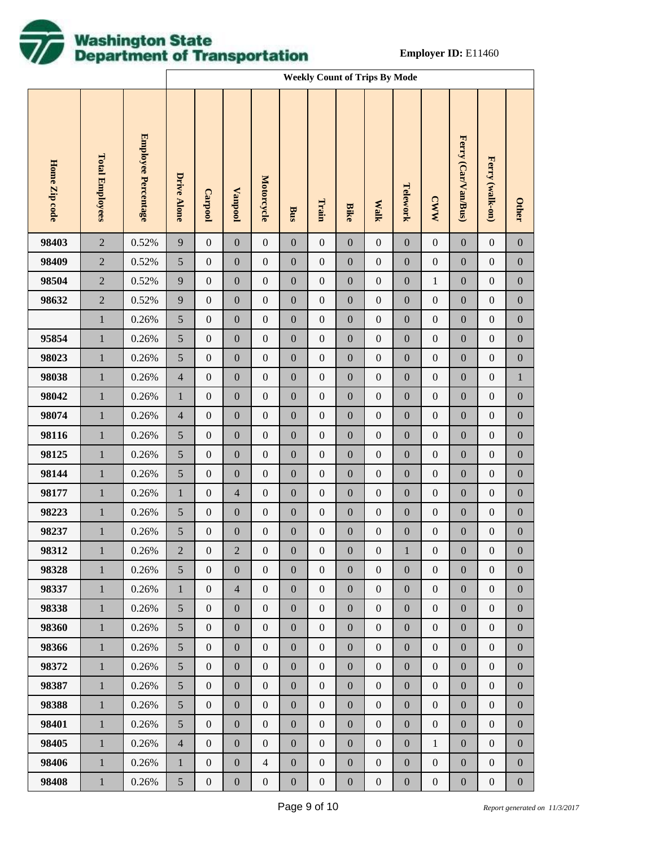

|               |                        |                     |                    | <b>Weekly Count of Trips By Mode</b> |                  |                   |                  |                  |                  |                  |                  |                  |                     |                  |                  |
|---------------|------------------------|---------------------|--------------------|--------------------------------------|------------------|-------------------|------------------|------------------|------------------|------------------|------------------|------------------|---------------------|------------------|------------------|
| Home Zip code | <b>Total Employees</b> | Employee Percentage | <b>Drive Alone</b> | <b>Carpool</b>                       | Vanpool          | <b>Motorcycle</b> | Bus              | Train            | <b>Bike</b>      | <b>Walk</b>      | Telework         | <b>CWW</b>       | Ferry (Car/Van/Bus) | Ferry (walk-on)  | <b>Other</b>     |
| 98403         | $\overline{2}$         | 0.52%               | $\overline{9}$     | $\boldsymbol{0}$                     | $\boldsymbol{0}$ | $\boldsymbol{0}$  | $\boldsymbol{0}$ | $\boldsymbol{0}$ | $\boldsymbol{0}$ | $\boldsymbol{0}$ | $\boldsymbol{0}$ | $\boldsymbol{0}$ | $\boldsymbol{0}$    | $\boldsymbol{0}$ | $\boldsymbol{0}$ |
| 98409         | $\sqrt{2}$             | 0.52%               | $\mathfrak{S}$     | $\boldsymbol{0}$                     | $\boldsymbol{0}$ | $\boldsymbol{0}$  | $\boldsymbol{0}$ | $\boldsymbol{0}$ | $\boldsymbol{0}$ | $\boldsymbol{0}$ | $\boldsymbol{0}$ | $\boldsymbol{0}$ | $\boldsymbol{0}$    | $\boldsymbol{0}$ | $\boldsymbol{0}$ |
| 98504         | $\sqrt{2}$             | 0.52%               | $\overline{9}$     | $\boldsymbol{0}$                     | $\boldsymbol{0}$ | $\boldsymbol{0}$  | $\boldsymbol{0}$ | $\boldsymbol{0}$ | $\boldsymbol{0}$ | $\boldsymbol{0}$ | $\boldsymbol{0}$ | $\mathbf{1}$     | $\boldsymbol{0}$    | $\boldsymbol{0}$ | $\boldsymbol{0}$ |
| 98632         | $\sqrt{2}$             | 0.52%               | $\overline{9}$     | $\boldsymbol{0}$                     | $\boldsymbol{0}$ | $\boldsymbol{0}$  | $\boldsymbol{0}$ | $\boldsymbol{0}$ | $\boldsymbol{0}$ | $\boldsymbol{0}$ | $\boldsymbol{0}$ | $\boldsymbol{0}$ | $\boldsymbol{0}$    | $\boldsymbol{0}$ | $\boldsymbol{0}$ |
|               | $\,1$                  | 0.26%               | $\sqrt{5}$         | $\boldsymbol{0}$                     | $\boldsymbol{0}$ | $\boldsymbol{0}$  | $\boldsymbol{0}$ | $\boldsymbol{0}$ | $\boldsymbol{0}$ | $\boldsymbol{0}$ | $\boldsymbol{0}$ | $\boldsymbol{0}$ | $\boldsymbol{0}$    | $\boldsymbol{0}$ | $\boldsymbol{0}$ |
| 95854         | $\,1$                  | 0.26%               | $\sqrt{5}$         | $\boldsymbol{0}$                     | $\boldsymbol{0}$ | $\boldsymbol{0}$  | $\boldsymbol{0}$ | $\boldsymbol{0}$ | $\boldsymbol{0}$ | $\boldsymbol{0}$ | $\boldsymbol{0}$ | $\boldsymbol{0}$ | $\boldsymbol{0}$    | $\boldsymbol{0}$ | $\boldsymbol{0}$ |
| 98023         | $\,1$                  | 0.26%               | $\mathfrak{S}$     | $\boldsymbol{0}$                     | $\boldsymbol{0}$ | $\boldsymbol{0}$  | $\boldsymbol{0}$ | $\boldsymbol{0}$ | $\boldsymbol{0}$ | $\boldsymbol{0}$ | $\boldsymbol{0}$ | $\boldsymbol{0}$ | $\boldsymbol{0}$    | $\boldsymbol{0}$ | $\boldsymbol{0}$ |
| 98038         | $\,1$                  | 0.26%               | $\overline{4}$     | $\boldsymbol{0}$                     | $\boldsymbol{0}$ | $\boldsymbol{0}$  | $\boldsymbol{0}$ | $\boldsymbol{0}$ | $\boldsymbol{0}$ | $\boldsymbol{0}$ | $\boldsymbol{0}$ | $\boldsymbol{0}$ | $\boldsymbol{0}$    | $\boldsymbol{0}$ | $\mathbf{1}$     |
| 98042         | $\,1$                  | 0.26%               | $\mathbf{1}$       | $\boldsymbol{0}$                     | $\boldsymbol{0}$ | $\boldsymbol{0}$  | $\boldsymbol{0}$ | $\boldsymbol{0}$ | $\boldsymbol{0}$ | $\boldsymbol{0}$ | $\boldsymbol{0}$ | $\boldsymbol{0}$ | $\boldsymbol{0}$    | $\boldsymbol{0}$ | $\boldsymbol{0}$ |
| 98074         | $\,1$                  | 0.26%               | $\overline{4}$     | $\boldsymbol{0}$                     | $\boldsymbol{0}$ | $\boldsymbol{0}$  | $\boldsymbol{0}$ | $\boldsymbol{0}$ | $\boldsymbol{0}$ | $\boldsymbol{0}$ | $\boldsymbol{0}$ | $\boldsymbol{0}$ | $\boldsymbol{0}$    | $\boldsymbol{0}$ | $\boldsymbol{0}$ |
| 98116         | $\,1$                  | 0.26%               | $\sqrt{5}$         | $\boldsymbol{0}$                     | $\boldsymbol{0}$ | $\boldsymbol{0}$  | $\boldsymbol{0}$ | $\boldsymbol{0}$ | $\boldsymbol{0}$ | $\boldsymbol{0}$ | $\boldsymbol{0}$ | $\boldsymbol{0}$ | $\boldsymbol{0}$    | $\boldsymbol{0}$ | $\boldsymbol{0}$ |
| 98125         | $\,1$                  | 0.26%               | $\sqrt{5}$         | $\boldsymbol{0}$                     | $\boldsymbol{0}$ | $\boldsymbol{0}$  | $\boldsymbol{0}$ | $\boldsymbol{0}$ | $\boldsymbol{0}$ | $\boldsymbol{0}$ | $\boldsymbol{0}$ | $\boldsymbol{0}$ | $\boldsymbol{0}$    | $\boldsymbol{0}$ | $\boldsymbol{0}$ |
| 98144         | $\,1$                  | 0.26%               | $\sqrt{5}$         | $\boldsymbol{0}$                     | $\boldsymbol{0}$ | $\boldsymbol{0}$  | $\boldsymbol{0}$ | $\boldsymbol{0}$ | $\boldsymbol{0}$ | $\boldsymbol{0}$ | $\boldsymbol{0}$ | $\boldsymbol{0}$ | $\boldsymbol{0}$    | $\boldsymbol{0}$ | $\boldsymbol{0}$ |
| 98177         | $\mathbf{1}$           | 0.26%               | $\mathbf{1}$       | $\boldsymbol{0}$                     | $\overline{4}$   | $\boldsymbol{0}$  | $\boldsymbol{0}$ | $\boldsymbol{0}$ | $\boldsymbol{0}$ | $\boldsymbol{0}$ | $\boldsymbol{0}$ | $\boldsymbol{0}$ | $\boldsymbol{0}$    | $\boldsymbol{0}$ | $\boldsymbol{0}$ |
| 98223         | $\,1$                  | 0.26%               | $\sqrt{5}$         | $\boldsymbol{0}$                     | $\boldsymbol{0}$ | $\boldsymbol{0}$  | $\boldsymbol{0}$ | $\boldsymbol{0}$ | $\boldsymbol{0}$ | $\boldsymbol{0}$ | $\boldsymbol{0}$ | $\boldsymbol{0}$ | $\boldsymbol{0}$    | $\boldsymbol{0}$ | $\boldsymbol{0}$ |
| 98237         | $\,1$                  | 0.26%               | $\mathfrak s$      | $\boldsymbol{0}$                     | $\boldsymbol{0}$ | $\boldsymbol{0}$  | $\boldsymbol{0}$ | $\boldsymbol{0}$ | $\boldsymbol{0}$ | $\boldsymbol{0}$ | $\boldsymbol{0}$ | $\boldsymbol{0}$ | $\boldsymbol{0}$    | $\boldsymbol{0}$ | $\boldsymbol{0}$ |
| 98312         | $\mathbf{1}$           | 0.26%               | $\overline{c}$     | $\boldsymbol{0}$                     | $\overline{2}$   | $\boldsymbol{0}$  | $\boldsymbol{0}$ | $\boldsymbol{0}$ | $\boldsymbol{0}$ | $\boldsymbol{0}$ | $\mathbf{1}$     | $\boldsymbol{0}$ | $\boldsymbol{0}$    | $\boldsymbol{0}$ | $\boldsymbol{0}$ |
| 98328         | $\mathbf{1}$           | 0.26%               | 5 <sup>5</sup>     | $\overline{0}$                       | $\overline{0}$   | $\overline{0}$    | $\overline{0}$   | $\boldsymbol{0}$ | $\mathbf{0}$     | $\mathbf{0}$     | $\boldsymbol{0}$ | $\boldsymbol{0}$ | $\mathbf{0}$        | $\overline{0}$   | $\mathbf{0}$     |
| 98337         | $\mathbf{1}$           | 0.26%               | $\mathbf{1}$       | $\overline{0}$                       | $\overline{4}$   | $\boldsymbol{0}$  | $\boldsymbol{0}$ | $\boldsymbol{0}$ | $\boldsymbol{0}$ | $\boldsymbol{0}$ | $\boldsymbol{0}$ | $\boldsymbol{0}$ | $\mathbf{0}$        | $\mathbf{0}$     | $\boldsymbol{0}$ |
| 98338         | $\mathbf{1}$           | 0.26%               | 5 <sup>5</sup>     | $\overline{0}$                       | $\mathbf{0}$     | $\mathbf{0}$      | $\boldsymbol{0}$ | $\boldsymbol{0}$ | $\mathbf{0}$     | $\overline{0}$   | $\boldsymbol{0}$ | $\overline{0}$   | $\mathbf{0}$        | $\mathbf{0}$     | $\mathbf{0}$     |
| 98360         | $\mathbf{1}$           | 0.26%               | 5                  | $\overline{0}$                       | $\boldsymbol{0}$ | $\boldsymbol{0}$  | $\boldsymbol{0}$ | $\boldsymbol{0}$ | $\boldsymbol{0}$ | $\boldsymbol{0}$ | $\boldsymbol{0}$ | $\boldsymbol{0}$ | $\mathbf{0}$        | $\mathbf{0}$     | $\boldsymbol{0}$ |
| 98366         | $\mathbf{1}$           | 0.26%               | 5 <sup>5</sup>     | $\overline{0}$                       | $\mathbf{0}$     | $\mathbf{0}$      | $\boldsymbol{0}$ | $\boldsymbol{0}$ | $\mathbf{0}$     | $\overline{0}$   | $\boldsymbol{0}$ | $\overline{0}$   | $\mathbf{0}$        | $\mathbf{0}$     | $\boldsymbol{0}$ |
| 98372         | $\mathbf{1}$           | 0.26%               | $5\overline{)}$    | $\overline{0}$                       | $\boldsymbol{0}$ | $\boldsymbol{0}$  | $\boldsymbol{0}$ | $\boldsymbol{0}$ | $\boldsymbol{0}$ | $\boldsymbol{0}$ | $\boldsymbol{0}$ | $\boldsymbol{0}$ | $\mathbf{0}$        | $\mathbf{0}$     | $\boldsymbol{0}$ |
| 98387         | $\mathbf{1}$           | 0.26%               | 5 <sup>5</sup>     | $\overline{0}$                       | $\mathbf{0}$     | $\mathbf{0}$      | $\boldsymbol{0}$ | $\boldsymbol{0}$ | $\mathbf{0}$     | $\mathbf{0}$     | $\boldsymbol{0}$ | $\overline{0}$   | $\mathbf{0}$        | $\overline{0}$   | $\boldsymbol{0}$ |
| 98388         | $\mathbf{1}$           | 0.26%               | $5\overline{)}$    | $\overline{0}$                       | $\mathbf{0}$     | $\boldsymbol{0}$  | $\boldsymbol{0}$ | $\boldsymbol{0}$ | $\mathbf{0}$     | $\boldsymbol{0}$ | $\boldsymbol{0}$ | $\boldsymbol{0}$ | $\mathbf{0}$        | $\mathbf{0}$     | $\boldsymbol{0}$ |
| 98401         | $\mathbf{1}$           | 0.26%               | 5 <sup>5</sup>     | $\overline{0}$                       | $\mathbf{0}$     | $\boldsymbol{0}$  | $\boldsymbol{0}$ | $\boldsymbol{0}$ | $\mathbf{0}$     | $\boldsymbol{0}$ | $\boldsymbol{0}$ | $\boldsymbol{0}$ | $\mathbf{0}$        | $\overline{0}$   | $\boldsymbol{0}$ |
| 98405         | $\mathbf{1}$           | 0.26%               | $\overline{4}$     | $\overline{0}$                       | $\boldsymbol{0}$ | $\boldsymbol{0}$  | $\boldsymbol{0}$ | $\boldsymbol{0}$ | $\mathbf{0}$     | $\boldsymbol{0}$ | $\boldsymbol{0}$ | $\mathbf{1}$     | $\mathbf{0}$        | $\mathbf{0}$     | $\boldsymbol{0}$ |
| 98406         | $\mathbf{1}$           | 0.26%               | $\mathbf{1}$       | $\overline{0}$                       | $\mathbf{0}$     | $\overline{4}$    | $\boldsymbol{0}$ | $\boldsymbol{0}$ | $\boldsymbol{0}$ | $\boldsymbol{0}$ | $\boldsymbol{0}$ | $\boldsymbol{0}$ | $\mathbf{0}$        | $\mathbf{0}$     | $\boldsymbol{0}$ |
| 98408         | $\mathbf{1}$           | 0.26%               | $\mathfrak{S}$     | $\boldsymbol{0}$                     | $\boldsymbol{0}$ | $\boldsymbol{0}$  | $\boldsymbol{0}$ | $\boldsymbol{0}$ | $\boldsymbol{0}$ | $\boldsymbol{0}$ | $\boldsymbol{0}$ | $\boldsymbol{0}$ | $\boldsymbol{0}$    | $\boldsymbol{0}$ | $\boldsymbol{0}$ |